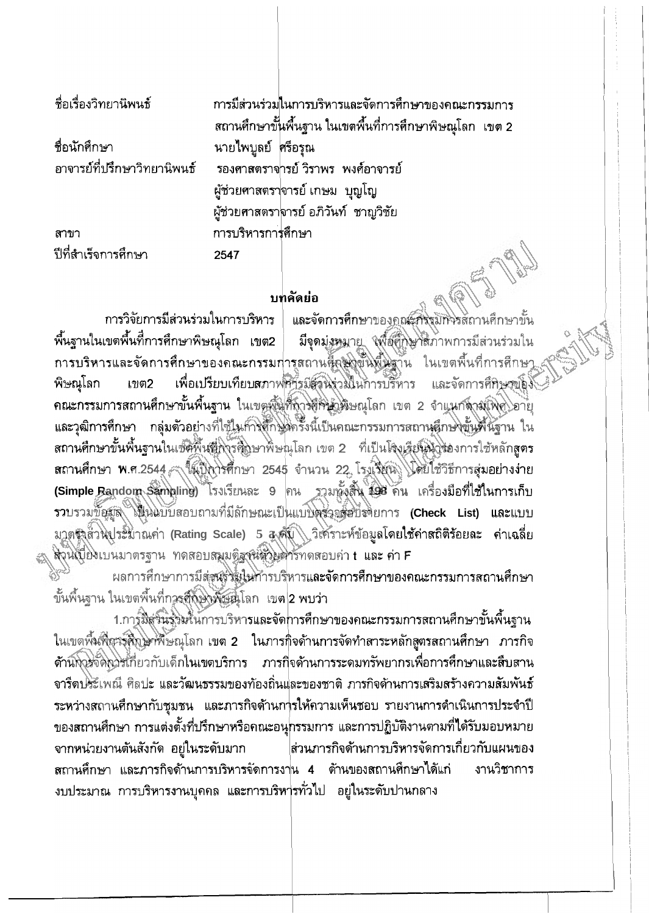์ ซื่อเรื่องวิทยานิพนธ์

การมีส่วนร่วมในการบริหารและจัดการศึกษาของคณะกรรมการ ิสถานศึกษาขั้นพื้นฐาน ในเขตพื้นที่การศึกษาพิษณุโลก เขต 2 นายไพบูลย์ ศรีอรุณ รองศาสตราจารย์ วิราพร พงศ์อาจารย์ ผู้ช่วยศาสตรา<mark>จารย์ เกษม บุญโญ</mark> ผู้ช่วยศาสตรา<mark>จารย์ อภิวันท์ ชาญวิชัย</mark> การบริหารการศึกษา 2547

ชื่อนักศึกษา อาจารย์ที่ปรึกษาวิทยานิพนธ์

สาขา ปีที่สำเร็จการศึกษา

## บทคัดย่อ

์<br>และจัดการศึกษาของคณะศิจรุมันวิจสถานศึกษาขั้น การวิจัยการมีส่วนร่วมในการบริหาร พื้นฐานในเขตพื้นที่การศึกษาพิษณุโลก เขต2 มีจุดมุ่งหมาย พุชีสติกษาสภาพการมีส่วนร่วมใน การบริหารและจัดการศึกษาของคณะกรรมการสถานศึกฟุงขึ้นพิษฐาน ในเขตพื้นที่การศึกษา เพื่อเปรียบเทียบสภาพศรัฐมีสุรุนิจ่ามในการบริหาร พิษณุโลก เขต2 และจัดการศึกษาของ คณะกรรมการสถานศึกษาขั้นพื้นฐาน ในเขตพื้นที่ถารสึกษักมิษณุโลก เขต 2 จำแนกตามเพิ่งไอายุ และวุฒิการศึกษา กลุ่มตัวอย่างที่ใช้ในการศึกษาครั้งนี้เป็นคณะกรรมการสถานศึกษาขั้นที่นี่ฐาน ใน สถานศึกษาขั้นพื้นฐานในเข็ตพื้นที่การศึกษาพิษณุโลก เขต 2 ที่เป็นโรงเรียนนำรองการใช้หลักสูตร สถานศึกษา พ.ศ.2544 (พี่ไม่ปีการศึกษา 2545 จำนวน 22 โรงเรียน) ไดยใช้วิธีการสุ่มอย่างง่าย (Simple Random Sampling) โรงเรียนละ 9 คน รวมนั้งสิ้น 198 คน เครื่องมือที่ใช้ในการเก็บ รวบรวมข้อมูล เป็นแบบสอบถามที่มีลักษณะเป็นแบบตราลสี่ยังสียการ (Check List) และแบบ มาตราสาพประมาณค่า (Rating Scale) 5 นุเส้น โรคราะห์ข้อมูลโดยใช้ค่าสถิติร้อยละ ค่าเฉลี่ย สิวนเบียงเบนมาตรฐาน ทดสอบสมุมติฐานด้วยการทดสอบค่า t และ ค่า F

นลการศึกษาการมีสุวนรรมในการบริหารและจัดการศึกษาของคณะกรรมการสถานศึกษา ขั้นพื้นฐาน ในเขตพื้นที่การศึกษาพืชนี้โลก เขต <mark>2 พบว่า</mark>

1.การ์มีส่วนร่วมในการบริหารและจัดการศึกษาของคณะกรรมการสถานศึกษาขั้นพื้นฐาน ในเขตพื้นพี่ตาร์ศึกษาพิษณุโลก เขต 2 ในภารกิจด้านการจัดทำสาระหลักสูตรสถานศึกษา ภารกิจ ด้านการจัดการเกี่ยวกับเด็กในเขตบริการ ภารกิจด้านการระดมทรัพยากรเพื่อการศึกษาและสืบสาน จารีตประเพณี ศิลปะ และวัฒนธรรมของท้องถิ่นและของชาติ ภารกิจด้านการเสริมสร้างความสัมพันธ์ ระหว่างสถานศึกษากับชุมชน และภารกิจด้านกๅ่รให้ความเห็นชอบ รายงานการดำเนินการประจำปี ของสถานศึกษา การแต่งตั้งที่ปรึกษาหรือคณะอนุกรรมการ และการปฏิบัติงานตามที่ได้รับมอบหมาย จากหน่วยงานต้นสังกัด อยู่ในระดับมาก ส่วนภารกิจด้านการบริหารจัดการเกี่ยวกับแผนของ ิสถานศึกษา และภารกิจด้านการบริหารจัดการงา<mark>น 4 ด้านของสถานศึกษาได้แก่</mark> งานวิชาการ งบประมาณ การบริหารงานบุคคล และการบริหารทั่วไป อยู่ในระดับปานกลาง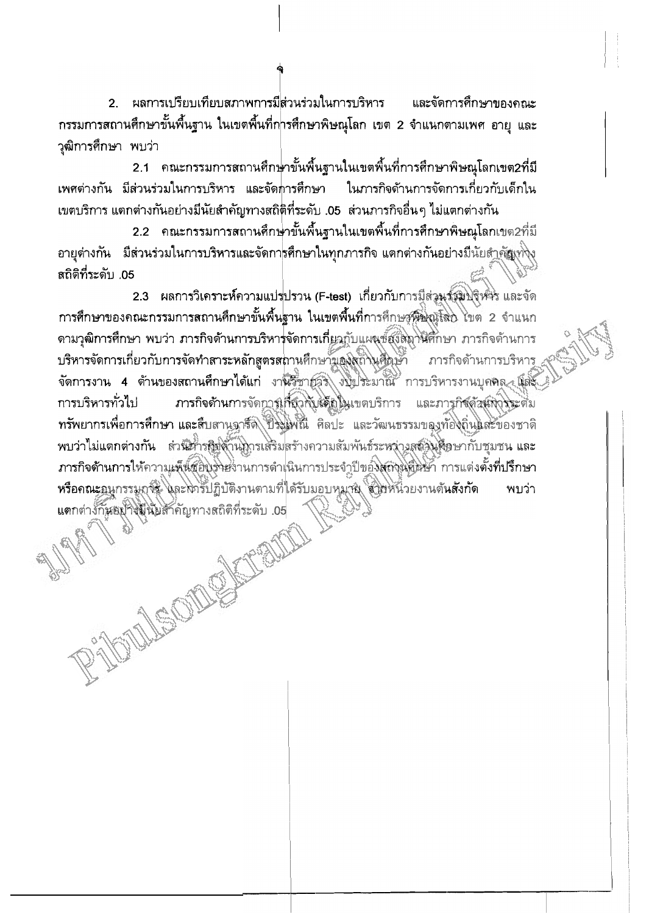2. ผลการเปรียบเทียบสภาพการมีส่วนร่วมในการบริหาร และจัดการศึกษาของคณะ ึกรรมการสถานศึกษาขั้นพื้นฐาน ในเขตพื้นที่ก<mark>ารศึกษาพิษณุโลก เขต 2 จำแนกตามเพศ อายุ และ</mark> วุฒิการศึกษา พบว่า

2.1 คณะกรรมการสถานศึกษาขั้นพื้นฐานในเขตพื้นที่การศึกษาพิษณุโลกเขต2ที่มี เพศต่างกัน มีส่วนร่วมในการบริหาร และจัดการศึกษา ในภารกิจด้านการจัดการเกี่ยวกับเด็กใน เขตบริการ แตกต่างกันอย่างมีนัยสำคัญทางสถิติที่ระดับ .05 ส่วนภารกิจอื่นๆ ไม่แตกต่างกัน

่ 2.2 คณะกรรมการสถานศึกษาขั้นพื้นฐานในเขตพื้นที่การศึกษาพิษณุโลกเขต2ที่มี อายุด่างกัน มีส่วนร่วมในการบริหารและจัดกา<mark>รศึกษาในทุกภารกิจ แดกต่างกันอย่าง</mark>มีนัยสำคัญท*ั*่งง สถิติที่ระดับ .05

ี ผลการวิเคราะห์ความแปรปรวน (F-test) เกี่ยวกับการมีส่วนรัฐมิปฐิหริร และจัด  $2.3$ การศึกษาของคณะกรรมการสถานศึกษาขั้นพื้นฐาน ในเขตพื้นที่การศึกษสติษณุโสก ไขต 2 จำแนก ดามวุฒิการศึกษา พบว่า ภารกิจด้านการบริหารจัดการเกี่ยวกับแผนข้องสถานศึกษา ภารกิจด้านการ บริหารจัดการเกี่ยวกับการจัดทำสาระหลักสูตรสถานศึกษาของสถานศึกษา ภารกิจด้านการบริหาร จัดการงาน 4 ต้านของสถานศึกษาได้แก่ งานรีชาฮุลิจ งิบิประมาณ การบริหารงานบุคคล และ ภารกิจด้านการจัดการเกี่ยวกับเดิกในเขตบริการ และภารกิจตัวหลังจระตื่ม การบริหารทั่วไป ทรัพยากรเพื่อการศึกษา และสืบสานจารึดิ ปีรุงไพณี ศิลปะ และวัฒนธรรมของท้องถิ่นและของชาติ พบว่าไม่แตกต่างกัน ส่วนสารสีอด้านการเสริมสร้างความสัมพันธ์ระหว่างสตันเสื้อษากับชุมชน และ ภารกิจด้านการให้ความเห็นสอบรายว่านการดำเนินการประจำปีของสถานศิหษา การแต่งตั้งที่ปรึกษา หรือคณะอนุกรรมการ ใเละพารัปฏิบัติงานตามที่ได้รับมอบหมาย สำสหน่วยงานต้นสังกัด พบว่า แตกต่างกันอย่างมีนัยสำคัญทางสถิติที่ระดับ .05

ILLEOTHER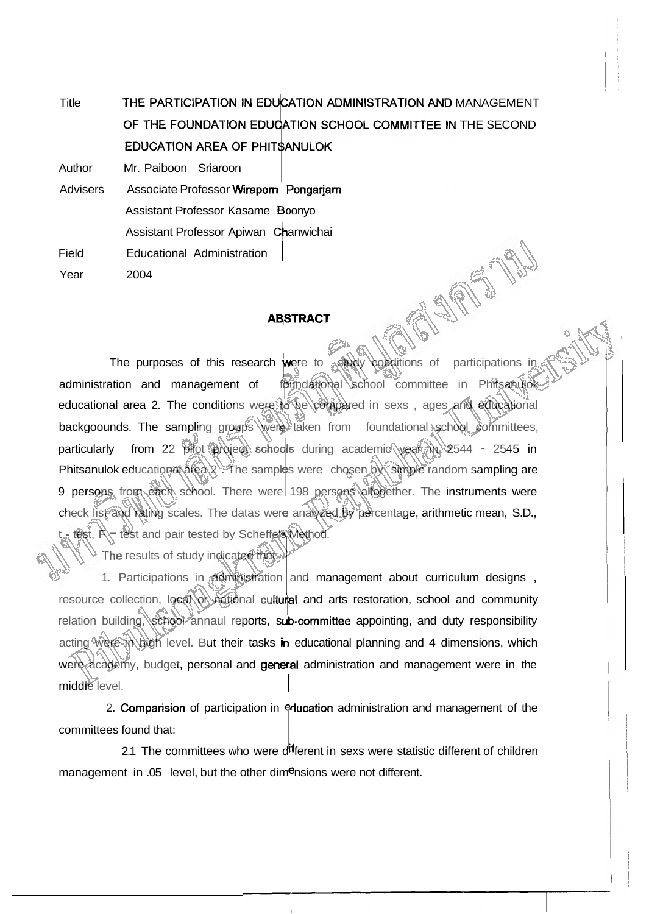Title THE PARTICIPATION IN EDUCATION ADMINISTRATION AND MANAGEMENT OF THE FOUNDATION EDUCATION SCHOOL COMMITTEE IN THE SECOND EDUCATION AREA OF PHITSANULOK

Author Mr. Paiboon Sriaroon

Advisers Associate Professor Wiraporn Pongariam Assistant Professor Kasame Boonyo Assistant Professor Apiwan Chanwichai Field 2004 Educational Administration ~ Year

## **ABSTRACT**

10 JANS

The purposes of this research were to study conditions of participations in administration and management of foundational school committee in Phitsanulok educational area 2. The conditions were to be compared in sexs, ages and educational backgoounds. The sampling groups were taken from foundational school committees, particularly from 22 pilot project schools during academic year  $m \geq 544 - 2545$  in Phitsanulok educational area 2. The samples were chosen by simple random sampling are 9 persons from each school. There were 198 persons altogether. The instruments were check list and rating scales. The datas were analyzed by percentage, arithmetic mean, S.D.,  $\text{test}, \mathbb{N}$  test and pair tested by Scheffe's Method.

The results of study indicated that:

1. Participations in administration and management about curriculum designs, resource collection, local or national cultural and arts restoration, school and community relation building, school annaul reports, sub-committee appointing, and duty responsibility acting were in high level. But their tasks in educational planning and 4 dimensions, which middle level. were academy, budget, personal and general administration and management were in the

2. Comparision of participation in **4** ducation administration and management of the committees found that:

2.1 The committees who were different in sexs were statistic different of children management in .05 level, but the other dim<sup>e</sup>nsions were not different.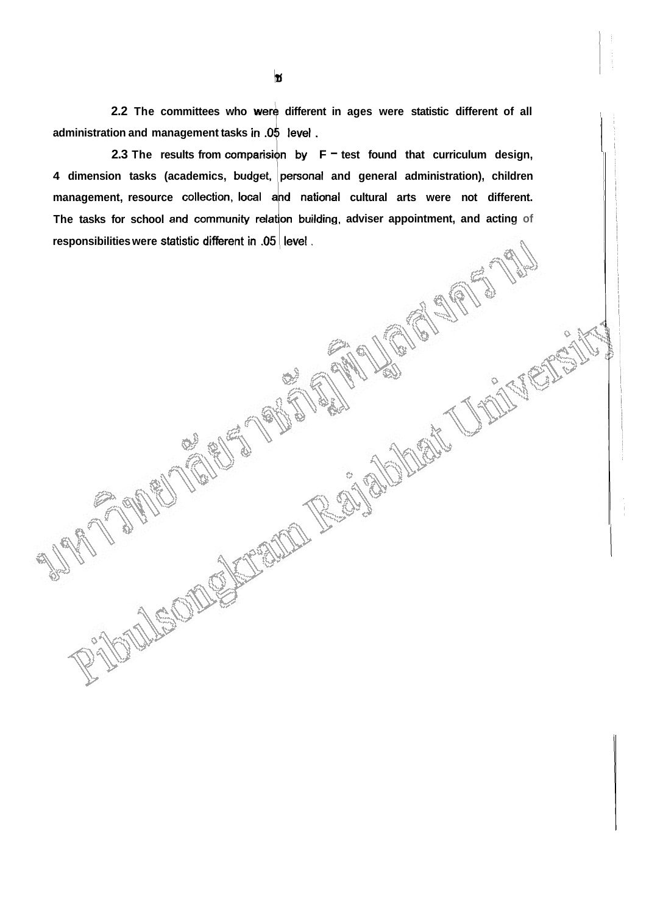2.2 The committees who were different in ages were statistic different of all **administration and management tasks** 

2.3 The results from comparision by  $F$  - test found that curriculum design, 4 dimension tasks (academics, budget, personal and general administration), children management, resource collection, local and national cultural arts were not different. The tasks for school and community relation building, adviser appointment, and acting of **responsibilities were CONSTRUCTION RESIDENCES** 

Dept 10